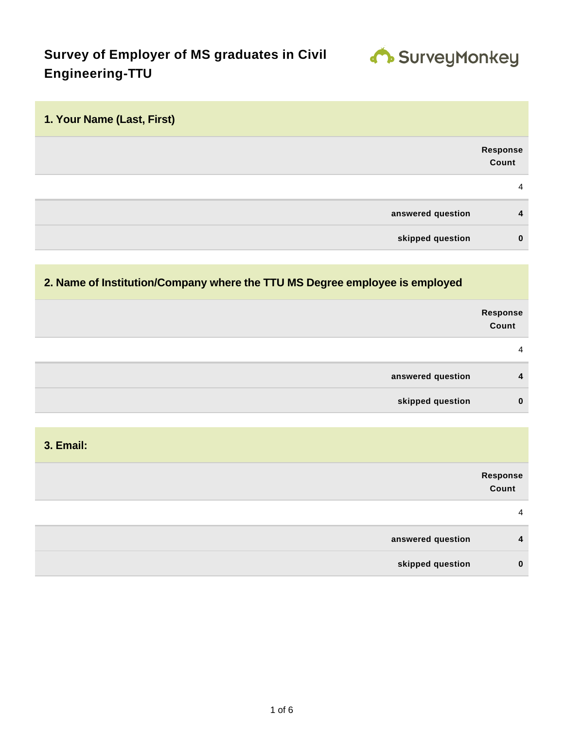

# **Survey of Employer of MS graduates in Civil Engineering-TTU**

| 1. Your Name (Last, First) |                   |
|----------------------------|-------------------|
|                            | Response<br>Count |
|                            | $\overline{4}$    |
| answered question          | 4                 |
| skipped question           | $\mathbf 0$       |

#### **2. Name of Institution/Company where the TTU MS Degree employee is employed**

|                   | Response<br>Count |
|-------------------|-------------------|
|                   | 4                 |
| answered question | 4                 |
| skipped question  | $\mathbf 0$       |
|                   |                   |

**3. Email:**

|                   | Response<br>Count |
|-------------------|-------------------|
|                   | 4                 |
| answered question | $\overline{4}$    |
| skipped question  | $\mathbf{0}$      |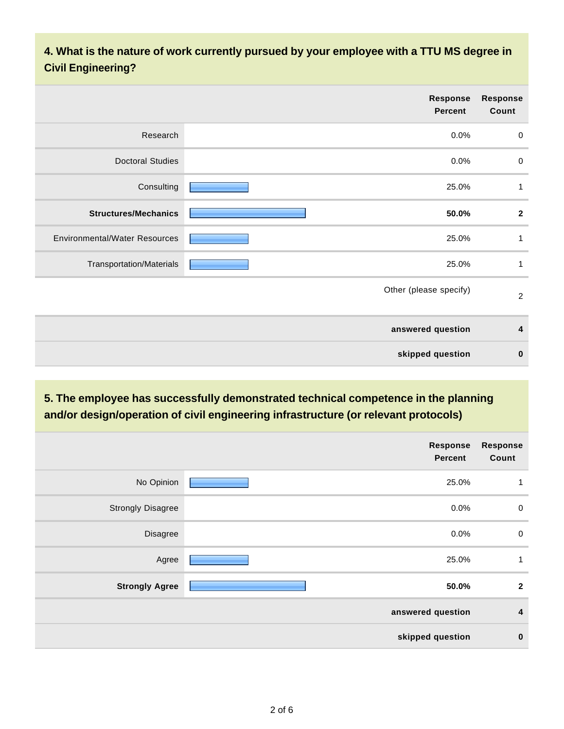#### **4. What is the nature of work currently pursued by your employee with a TTU MS degree in Civil Engineering?**

| Response<br>Percent                           | <b>Response</b><br>Count |
|-----------------------------------------------|--------------------------|
| Research<br>0.0%                              | $\pmb{0}$                |
| <b>Doctoral Studies</b><br>$0.0\%$            | $\mathbf 0$              |
| Consulting<br>25.0%                           | 1                        |
| <b>Structures/Mechanics</b><br>50.0%          | $\mathbf{2}$             |
| <b>Environmental/Water Resources</b><br>25.0% | 1                        |
| Transportation/Materials<br>25.0%             | 1                        |
| Other (please specify)                        | $\overline{2}$           |
| answered question                             | 4                        |
| skipped question                              | $\bf{0}$                 |

### **5. The employee has successfully demonstrated technical competence in the planning and/or design/operation of civil engineering infrastructure (or relevant protocols)**

|                          | <b>Response</b><br><b>Percent</b> | <b>Response</b><br>Count |
|--------------------------|-----------------------------------|--------------------------|
| No Opinion               | 25.0%                             | $\mathbf{1}$             |
| <b>Strongly Disagree</b> | 0.0%                              | $\mathbf 0$              |
| Disagree                 | $0.0\%$                           | $\mathbf 0$              |
| Agree                    | 25.0%                             | $\mathbf{1}$             |
| <b>Strongly Agree</b>    | 50.0%                             | $\overline{2}$           |
|                          | answered question                 | $\overline{4}$           |
|                          | skipped question                  | $\bf{0}$                 |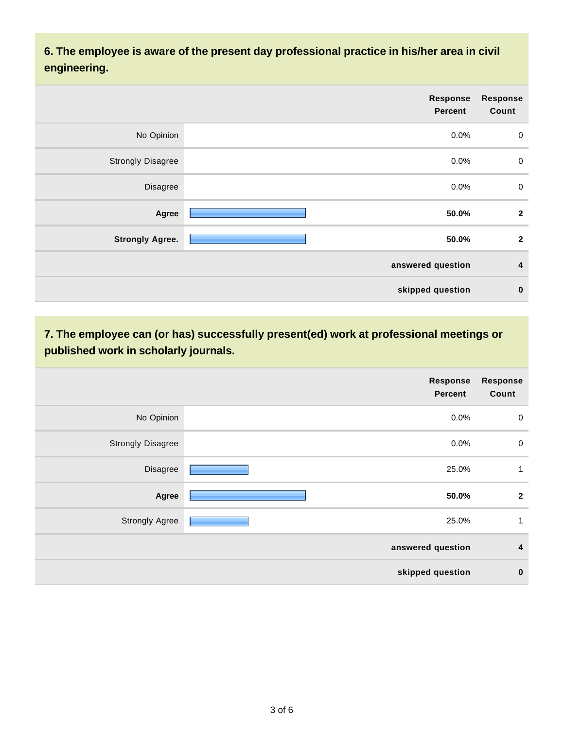**6. The employee is aware of the present day professional practice in his/her area in civil engineering.**

|                          | Response<br><b>Percent</b> | <b>Response</b><br>Count |
|--------------------------|----------------------------|--------------------------|
| No Opinion               | 0.0%                       | $\boldsymbol{0}$         |
| <b>Strongly Disagree</b> | 0.0%                       | $\mathbf 0$              |
| Disagree                 | 0.0%                       | $\pmb{0}$                |
| Agree                    | 50.0%                      | $\overline{2}$           |
| <b>Strongly Agree.</b>   | 50.0%                      | $\mathbf{2}$             |
|                          | answered question          | 4                        |
|                          | skipped question           | $\bf{0}$                 |

**7. The employee can (or has) successfully present(ed) work at professional meetings or published work in scholarly journals.**

|                          | <b>Response</b><br><b>Percent</b> | <b>Response</b><br>Count |
|--------------------------|-----------------------------------|--------------------------|
| No Opinion               | 0.0%                              | $\pmb{0}$                |
| <b>Strongly Disagree</b> | 0.0%                              | $\boldsymbol{0}$         |
| Disagree                 | 25.0%                             | 1                        |
| Agree                    | 50.0%                             | $\mathbf{2}$             |
| <b>Strongly Agree</b>    | 25.0%                             | 1                        |
|                          | answered question                 | 4                        |
|                          | skipped question                  | $\bf{0}$                 |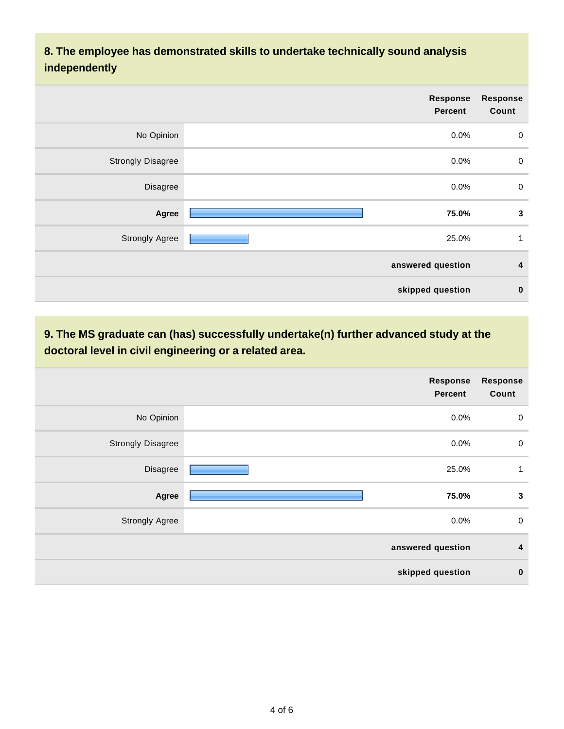#### **8. The employee has demonstrated skills to undertake technically sound analysis independently**

|                          | Response<br><b>Percent</b> | <b>Response</b><br>Count |
|--------------------------|----------------------------|--------------------------|
| No Opinion               | 0.0%                       | $\mathbf 0$              |
| <b>Strongly Disagree</b> | 0.0%                       | $\mathbf 0$              |
| Disagree                 | 0.0%                       | $\pmb{0}$                |
| Agree                    | 75.0%                      | 3                        |
| <b>Strongly Agree</b>    | 25.0%                      | $\mathbf 1$              |
|                          | answered question          | 4                        |
|                          | skipped question           | $\bf{0}$                 |

### **9. The MS graduate can (has) successfully undertake(n) further advanced study at the doctoral level in civil engineering or a related area.**

|                          | <b>Response</b><br><b>Percent</b> | <b>Response</b><br>Count |
|--------------------------|-----------------------------------|--------------------------|
| No Opinion               | 0.0%                              | $\pmb{0}$                |
| <b>Strongly Disagree</b> | 0.0%                              | $\mathbf 0$              |
| Disagree                 | 25.0%                             | 1                        |
| Agree                    | 75.0%                             | $\mathbf{3}$             |
| <b>Strongly Agree</b>    | 0.0%                              | $\pmb{0}$                |
|                          | answered question                 | 4                        |
|                          | skipped question                  | $\mathbf 0$              |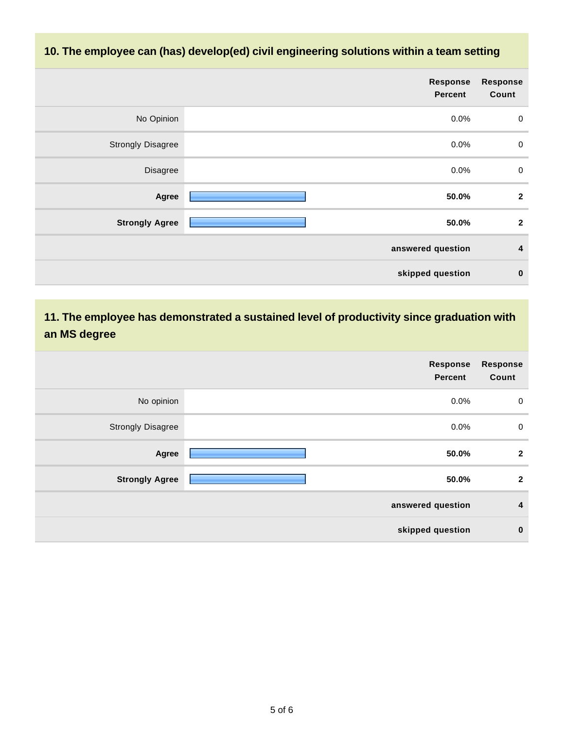#### **10. The employee can (has) develop(ed) civil engineering solutions within a team setting**

|                          | <b>Response</b><br><b>Percent</b> | <b>Response</b><br>Count |
|--------------------------|-----------------------------------|--------------------------|
| No Opinion               | 0.0%                              | $\overline{0}$           |
| <b>Strongly Disagree</b> | 0.0%                              | $\overline{0}$           |
| Disagree                 | 0.0%                              | $\pmb{0}$                |
| Agree                    | 50.0%                             | $\overline{2}$           |
| <b>Strongly Agree</b>    | 50.0%                             | $\mathbf{2}$             |
|                          | answered question                 | $\overline{4}$           |
|                          | skipped question                  | $\bf{0}$                 |

#### **11. The employee has demonstrated a sustained level of productivity since graduation with an MS degree**

|                          | Response<br><b>Percent</b> | <b>Response</b><br>Count |
|--------------------------|----------------------------|--------------------------|
| No opinion               | 0.0%                       | $\mathbf 0$              |
| <b>Strongly Disagree</b> | 0.0%                       | $\mathbf 0$              |
| Agree                    | 50.0%                      | $\mathbf{2}$             |
| <b>Strongly Agree</b>    | 50.0%                      | $\mathbf{2}$             |
|                          | answered question          | $\overline{\mathbf{4}}$  |
|                          | skipped question           | $\bf{0}$                 |